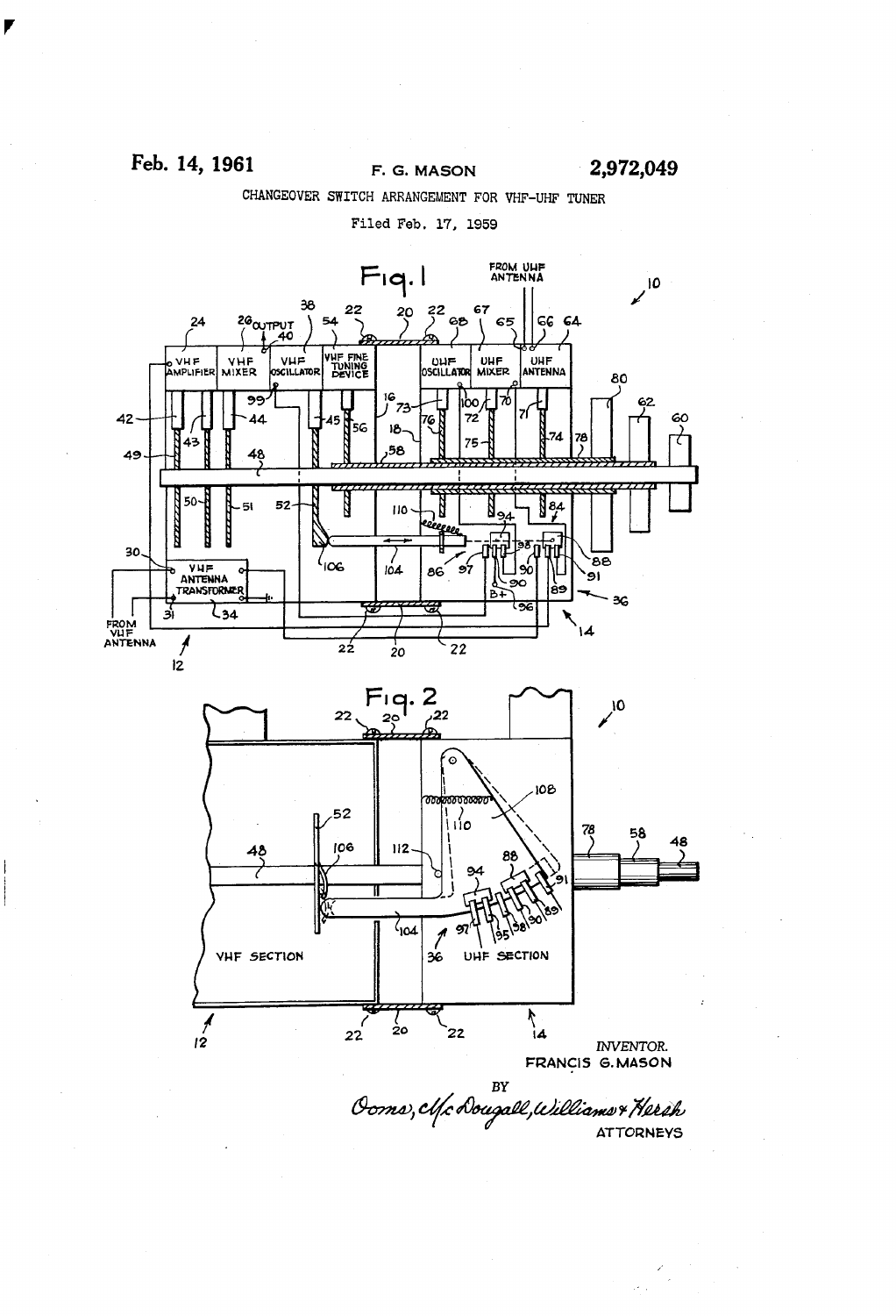$\frac{1}{\sqrt{2}}\sum_{i=1}^{n} \frac{1}{i}$ 

cHANGEovER SWITCH ARRANGEMENT Foa VHF-UHF TUNER

Filed Feb. 17. 1959

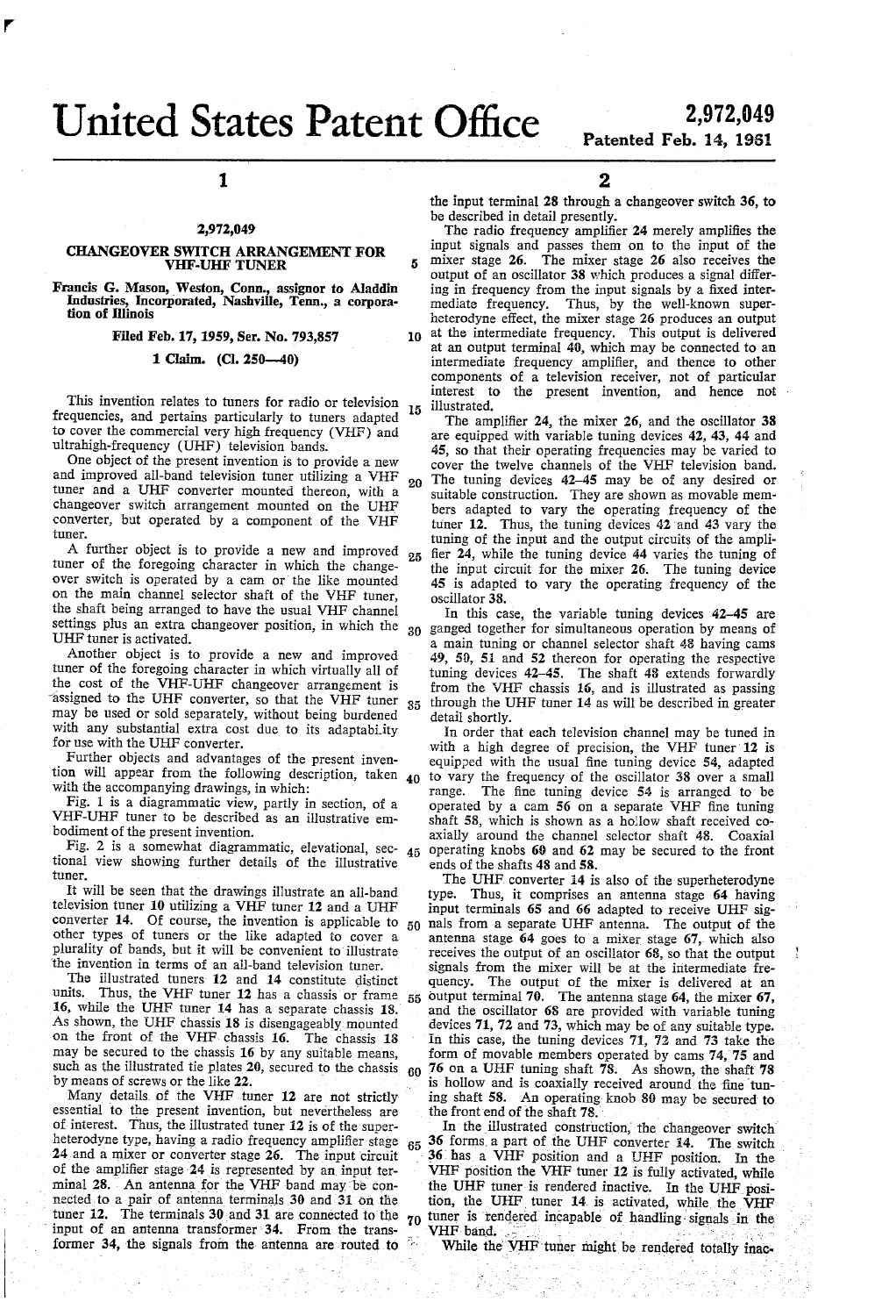# 2,972,049<br>Patented Feb. 14, 1961

## 1

#### i2,972,049

#### CHANGEOVER SWITCH ARRANGEMENT FOR VHF-UHF TUNER

Francis G. Mason, \_Weston, Conn., assîgnor to Aladdin Industries, Incorporated, Nashville, Tenn., a corpora-<br>tion of Illinois

Filed Feb. 17, 1959, Ser. No. 793,857

1 Claim. (Cl. Z50-\_40)

This invention relates to tuners for radio or television frequencies, and pertains particularly to tuners adapted to cover the commercial very high frequency (VHF) and ultrahigh-frequency (UHF) television bands. 15

One object of the present invention is to provide a new and improved all-band television tuner utilizing a VHF tuner and a UHF converter mounted thereon, with a changeover switch arrangement mounted on the UHF converter, but operated by a component of the VHF tuner. 20

A further object is to provide a new and improved 25 tuner of the foregoing character in which the change-<br>over switch is operated by a cam or the like mounted on the main channel selector shaft of the VHF tuner, the shaft being arranged to have the usual VHF channel settings plus an extra changeover position, in which the UHF tuner is activated. 30

Another object is to provide a new and improved tuner of the foregoing character in which virtually all of the cost of the VHF-UHF changeover arrangement is assigned to the UHF converter, so that the VHF tuner  $35$ may be used or sold separately, without being burdened with any substantial extra cost due to its adaptabi.ity for use with the UHF converter.

Further objects and advantages of the present inven tion will appear from the following description, taken 40 with the accompanying drawings, in which:

Fig. 1 is a diagrammatic view, partly in section, of a VHF-UHF tuner to be described as an illustrative em

bodiment of the present invention.<br>Fig. 2 is a somewhat diagrammatic, elevational, sec-  $_{45}$ tional view showing further details of the illustrative tuner.

It will be seen that the drawings illustrate an all-band television tuner 10 utilizing a VHF tuner 12 and a UHF converter 14. Of course, the invention is applicable to  $_{50}$ other types of tuners or the like adapted to cover a plurality of bands, but it will be convenient to illustrate 'the invention in terms of an all-band television tuner.

The illustrated tuners 12 and 14 constitute distinct<br>units. Thus the VHF tuner 12 bas a chassis or frame Thus, the VHF tuner 12 has a chassis or frame 16, while the UHF tuner 14 has a separate chassis 18.<br>As shown, the UHF chassis 18 is disengageably mounted on the front of the VHF chassis 16. The chassis 18 may be secured to the chassis 16 by any suitable means, such as the illustrated tie plates 20, secured to the chassis 55  $60$ 

by means of screws or the like  $22$ .<br>Many details of the VHF tuner 12 are not strictly essential to the present invention, but nevertheless are of interest. Thus, the illustrated tuner 12 is of the super heterodyne type, having a radio frequency amplifier stage  $24$  and a mixer or converter stage  $26$ . The input circuit of the amplifier stage 24 is represented by an input terminal 28. An antenna for the VHF band may be connected to a pair of antenna terminals 30 and 31 on the tuner 12. The terminals 30 and 31 are connected to the  $70$ input of an antenna transformer 34. From the transformer 34, the signals from the antenna are routed to 65 2

the input terminal 28 through a changeover switch 36, to be described in detail presently.

10 The radio frequency amplifier 24 merely amplifies the input signals and passes them on to the input of the mixer stage 26. The mixer stage 26 also receives the output of an oscillator 38 which produces a signal differ ing in frequency from the input signals by a fixed inter mediate frequency. Thus, by the Well-known super heterodyne effect, the mixer stage 26 produces an output at the intermediate frequency. This output is delivered at an output terminal 40, which may be connected to an intermediate frequency amplifier, and thence to other components of a television receiver, not of particular interest to the present invention, and hence not illustrated.<br>The amplifier 24, the mixer 26, and the oscillator 38

are equipped with variable tuning devices 42, 43, 44 and 45, so that their operating frequencies may be varied to cover the twelve channels of the VHF television band. The tuning devices 42-45 may be of any desired or suitable construction. They are shown as movable mem bers adapted to vary the operating frequency of the tuner 12. Thus, the tuning devices 42'and 43 vary the tuning of the input and the output circuits of the ampli fier 24, while the tuning device 44 varies the tuning of the input circuit for the mixer 26. The tuning device 45 is adapted to vary the operating frequency of the oscillator 38.

In this case, the variable tuning devices 42-45 are ganged together for simultaneous operation by means of a main tuning or channel selector shaft 48 having cams 49, 50, 51 and 52 thereon for operating the respective tuning devices 42-45. The shaft 43 extends forwardly from the VHF chassis 16, and is illustrated as passing through the UHF tuner 14 as will be described in greater detail shortly.

In order that each television channel may be tuned in with a high degree of precision, the VHF tuner 12 is equipped with the usual ñne tuning device 54, adapted to vary the frequency of the oscillator 38 over a small range. The fine tuning device 54 is arranged to be operated by a cam 56 on a separate VHF fine tuning shaft 58, which is shown as a hollow shaft received co axially around the channel selector shaft 48. Coaxial operating knobs 60 and 62 may be secured to the front ends of the shafts 48 and 5S.

The UHF converter 14 is also of the superheterodyne type. Thus, it comprises an antenna stage 64 having input terminals 65 and 66 adapted to receive UHF sig nals from a separate UHF antenna. The output of the antenna stage  $64$  goes to a mixer stage  $67$ , which also receives the output of an oscillator 68, so that the output signals from the mixer will be at the intermediate fre quency. The output of the mixer is delivered at an output terminal 70. The antenna stage 64, the mixer 67, and the oscillator 68 are provided with variable tuning devices 71, 72 and 73, which may be of any suitable type. In this case, the tuning devices 71, 72 and 73 take the form of movable members operated by cams 74,75 and 76 on a UHF tuning shaft 7S. As shown, the shaft 7S is hollow and is coaxially received around the fine tuning shaft  $58$ . An operating knob  $80$  may be secured to the front end of the shaft 78.

In the illustrated construction, the changeover switch 36 forms a part of the UHF converter 14. The switch l 36 has a VHF position and a UHF position. In the VHF position the VHF tuner 12 is fully activated, while the UHF tuner is rendered inactive. In the UHF position, the UHF tuner 14 is activated, while the VHF tuner is rendered incapable of handling signals in the VHF-band.

While the VHF tuner might be rendered totally inac-